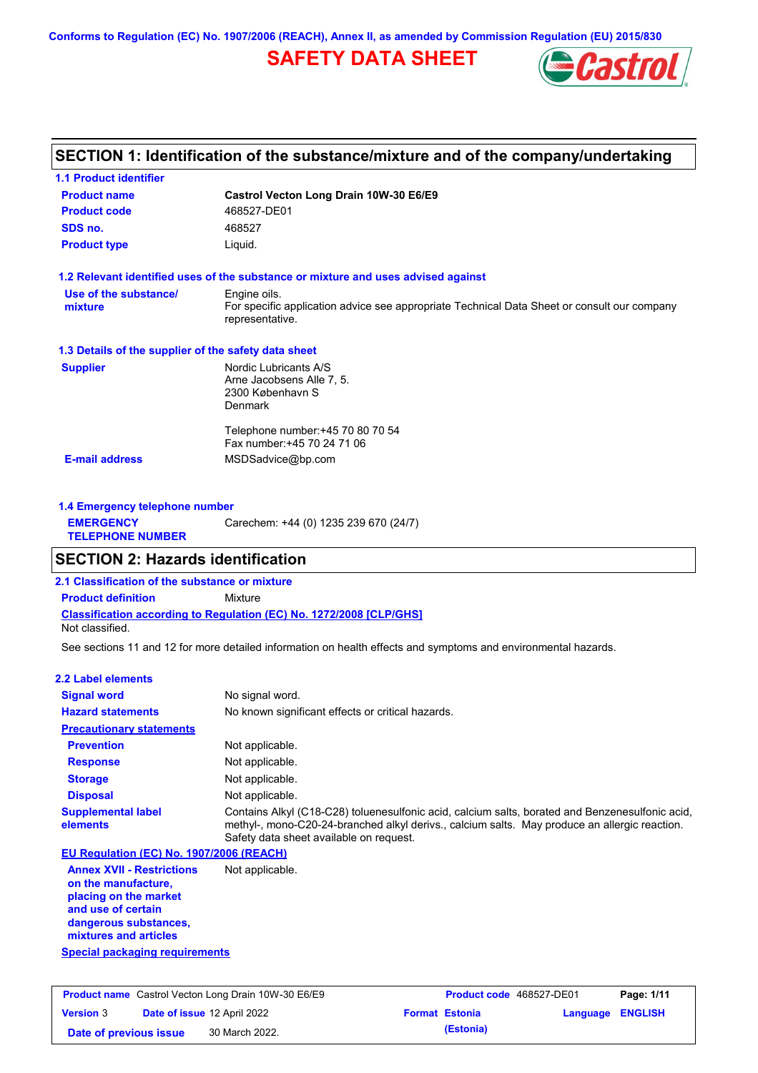**Conforms to Regulation (EC) No. 1907/2006 (REACH), Annex II, as amended by Commission Regulation (EU) 2015/830**

# **SAFETY DATA SHEET**



# **SECTION 1: Identification of the substance/mixture and of the company/undertaking**

| <b>Product name</b>                                  | Castrol Vecton Long Drain 10W-30 E6/E9                                                                         |
|------------------------------------------------------|----------------------------------------------------------------------------------------------------------------|
| <b>Product code</b>                                  | 468527-DE01                                                                                                    |
| SDS no.                                              | 468527                                                                                                         |
| <b>Product type</b>                                  | Liquid.                                                                                                        |
|                                                      | 1.2 Relevant identified uses of the substance or mixture and uses advised against                              |
| Use of the substance/                                | Engine oils.                                                                                                   |
| mixture                                              | For specific application advice see appropriate Technical Data Sheet or consult our company<br>representative. |
| 1.3 Details of the supplier of the safety data sheet |                                                                                                                |
| <b>Supplier</b>                                      | Nordic Lubricants A/S                                                                                          |
|                                                      | Arne Jacobsens Alle 7, 5.                                                                                      |
|                                                      | 2300 København S<br><b>Denmark</b>                                                                             |
|                                                      |                                                                                                                |
|                                                      | Telephone number: +45 70 80 70 54                                                                              |
|                                                      | Fax number: +45 70 24 71 06                                                                                    |
| <b>E-mail address</b>                                | MSDSadvice@bp.com                                                                                              |

| 1.4 Emergency telephone number              |                                       |
|---------------------------------------------|---------------------------------------|
| <b>EMERGENCY</b><br><b>TELEPHONE NUMBER</b> | Carechem: +44 (0) 1235 239 670 (24/7) |

## **SECTION 2: Hazards identification**

**2.1 Classification of the substance or mixture**

**Classification according to Regulation (EC) No. 1272/2008 [CLP/GHS] Product definition** Mixture

Not classified.

See sections 11 and 12 for more detailed information on health effects and symptoms and environmental hazards.

### **2.2 Label elements**

| <b>Signal word</b>                                                                                                                                       | No signal word.                                                                                                                                                                                                                             |
|----------------------------------------------------------------------------------------------------------------------------------------------------------|---------------------------------------------------------------------------------------------------------------------------------------------------------------------------------------------------------------------------------------------|
| <b>Hazard statements</b>                                                                                                                                 | No known significant effects or critical hazards.                                                                                                                                                                                           |
| <b>Precautionary statements</b>                                                                                                                          |                                                                                                                                                                                                                                             |
| <b>Prevention</b>                                                                                                                                        | Not applicable.                                                                                                                                                                                                                             |
| <b>Response</b>                                                                                                                                          | Not applicable.                                                                                                                                                                                                                             |
| <b>Storage</b>                                                                                                                                           | Not applicable.                                                                                                                                                                                                                             |
| <b>Disposal</b>                                                                                                                                          | Not applicable.                                                                                                                                                                                                                             |
| <b>Supplemental label</b><br>elements                                                                                                                    | Contains Alkyl (C18-C28) toluenesulfonic acid, calcium salts, borated and Benzenesulfonic acid,<br>methyl-, mono-C20-24-branched alkyl derivs., calcium salts. May produce an allergic reaction.<br>Safety data sheet available on request. |
| EU Regulation (EC) No. 1907/2006 (REACH)                                                                                                                 |                                                                                                                                                                                                                                             |
| <b>Annex XVII - Restrictions</b><br>on the manufacture,<br>placing on the market<br>and use of certain<br>dangerous substances,<br>mixtures and articles | Not applicable.                                                                                                                                                                                                                             |
| <b>Special packaging requirements</b>                                                                                                                    |                                                                                                                                                                                                                                             |

| <b>Product name</b> Castrol Vecton Long Drain 10W-30 E6/E9 |  |                                    | <b>Product code</b> 468527-DE01 |                       | Page: 1/11              |  |
|------------------------------------------------------------|--|------------------------------------|---------------------------------|-----------------------|-------------------------|--|
| <b>Version 3</b>                                           |  | <b>Date of issue 12 April 2022</b> |                                 | <b>Format Estonia</b> | <b>Language ENGLISH</b> |  |
| Date of previous issue                                     |  | 30 March 2022.                     |                                 | (Estonia)             |                         |  |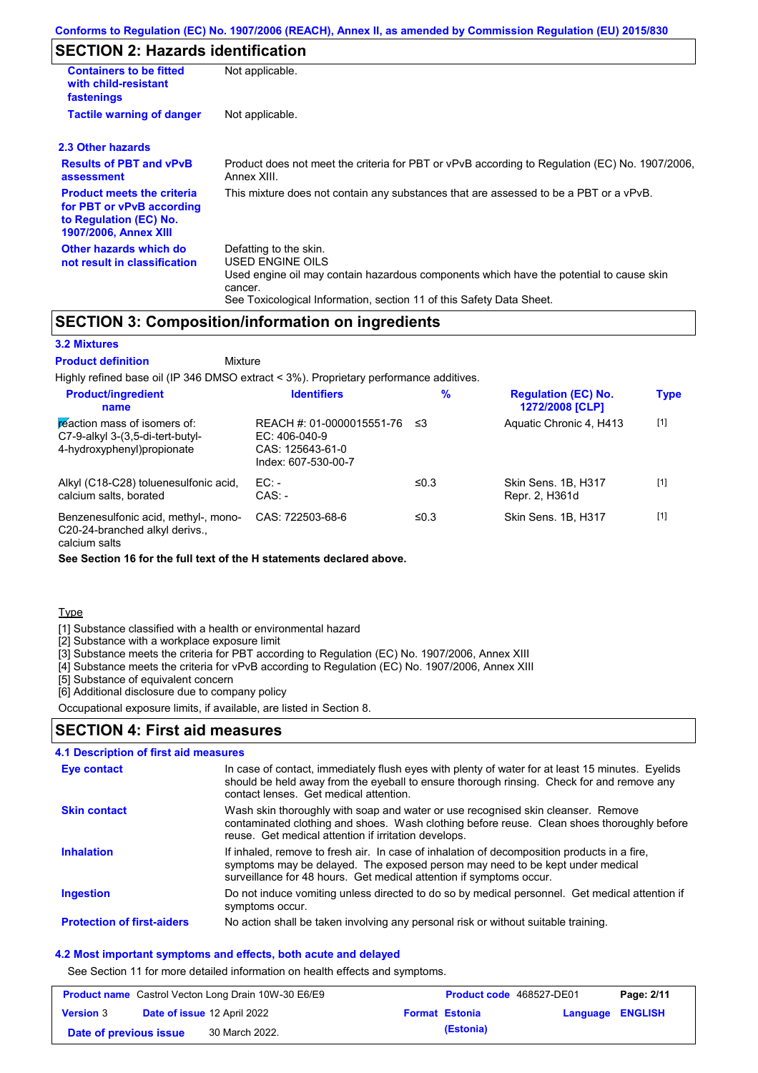# **SECTION 2: Hazards identification**

| <b>Containers to be fitted</b><br>with child-resistant<br>fastenings                                                     | Not applicable.                                                                                                                                                                                                          |
|--------------------------------------------------------------------------------------------------------------------------|--------------------------------------------------------------------------------------------------------------------------------------------------------------------------------------------------------------------------|
| <b>Tactile warning of danger</b>                                                                                         | Not applicable.                                                                                                                                                                                                          |
| 2.3 Other hazards                                                                                                        |                                                                                                                                                                                                                          |
| <b>Results of PBT and vPvB</b><br>assessment                                                                             | Product does not meet the criteria for PBT or vPvB according to Regulation (EC) No. 1907/2006,<br>Annex XIII.                                                                                                            |
| <b>Product meets the criteria</b><br>for PBT or vPvB according<br>to Regulation (EC) No.<br><b>1907/2006, Annex XIII</b> | This mixture does not contain any substances that are assessed to be a PBT or a vPvB.                                                                                                                                    |
| Other hazards which do<br>not result in classification                                                                   | Defatting to the skin.<br>USED ENGINE OILS<br>Used engine oil may contain hazardous components which have the potential to cause skin<br>cancer.<br>See Toxicological Information, section 11 of this Safety Data Sheet. |

## **SECTION 3: Composition/information on ingredients**

Mixture

### **3.2 Mixtures**

#### **Product definition**

Highly refined base oil (IP 346 DMSO extract < 3%). Proprietary performance additives.

| <b>Product/ingredient</b><br>name                                                               | <b>Identifiers</b>                                                                      | $\%$    | <b>Regulation (EC) No.</b><br>1272/2008 [CLP] | <b>Type</b> |
|-------------------------------------------------------------------------------------------------|-----------------------------------------------------------------------------------------|---------|-----------------------------------------------|-------------|
| reaction mass of isomers of:<br>C7-9-alkyl 3-(3,5-di-tert-butyl-<br>4-hydroxyphenyl) propionate | REACH #: 01-0000015551-76<br>EC: $406-040-9$<br>CAS: 125643-61-0<br>Index: 607-530-00-7 | -≤3     | Aquatic Chronic 4, H413                       | $[1]$       |
| Alkyl (C18-C28) toluenesulfonic acid,<br>calcium salts, borated                                 | EC:<br>$CAS: -$                                                                         | ≤ $0.3$ | Skin Sens. 1B, H317<br>Repr. 2, H361d         | $[1]$       |
| Benzenesulfonic acid, methyl-, mono-<br>C20-24-branched alkyl derivs.,                          | CAS: 722503-68-6                                                                        | ≤ $0.3$ | Skin Sens, 1B, H317                           | $[1]$       |

calcium salts

**See Section 16 for the full text of the H statements declared above.**

**Type** 

[1] Substance classified with a health or environmental hazard

[2] Substance with a workplace exposure limit

[3] Substance meets the criteria for PBT according to Regulation (EC) No. 1907/2006, Annex XIII

[4] Substance meets the criteria for vPvB according to Regulation (EC) No. 1907/2006, Annex XIII

[5] Substance of equivalent concern

[6] Additional disclosure due to company policy

Occupational exposure limits, if available, are listed in Section 8.

### **SECTION 4: First aid measures**

| <b>4.1 Description of first aid measures</b> |                                                                                                                                                                                                                                                     |
|----------------------------------------------|-----------------------------------------------------------------------------------------------------------------------------------------------------------------------------------------------------------------------------------------------------|
| Eye contact                                  | In case of contact, immediately flush eyes with plenty of water for at least 15 minutes. Eyelids<br>should be held away from the eyeball to ensure thorough rinsing. Check for and remove any<br>contact lenses. Get medical attention.             |
| <b>Skin contact</b>                          | Wash skin thoroughly with soap and water or use recognised skin cleanser. Remove<br>contaminated clothing and shoes. Wash clothing before reuse. Clean shoes thoroughly before<br>reuse. Get medical attention if irritation develops.              |
| <b>Inhalation</b>                            | If inhaled, remove to fresh air. In case of inhalation of decomposition products in a fire,<br>symptoms may be delayed. The exposed person may need to be kept under medical<br>surveillance for 48 hours. Get medical attention if symptoms occur. |
| <b>Ingestion</b>                             | Do not induce vomiting unless directed to do so by medical personnel. Get medical attention if<br>symptoms occur.                                                                                                                                   |
| <b>Protection of first-aiders</b>            | No action shall be taken involving any personal risk or without suitable training.                                                                                                                                                                  |

#### **4.2 Most important symptoms and effects, both acute and delayed**

See Section 11 for more detailed information on health effects and symptoms.

| <b>Product name</b> Castrol Vecton Long Drain 10W-30 E6/E9 |  |                                    | <b>Product code</b> 468527-DE01 | Page: 2/11            |                  |  |
|------------------------------------------------------------|--|------------------------------------|---------------------------------|-----------------------|------------------|--|
| <b>Version</b> 3                                           |  | <b>Date of issue 12 April 2022</b> |                                 | <b>Format Estonia</b> | Language ENGLISH |  |
| Date of previous issue                                     |  | 30 March 2022.                     |                                 | (Estonia)             |                  |  |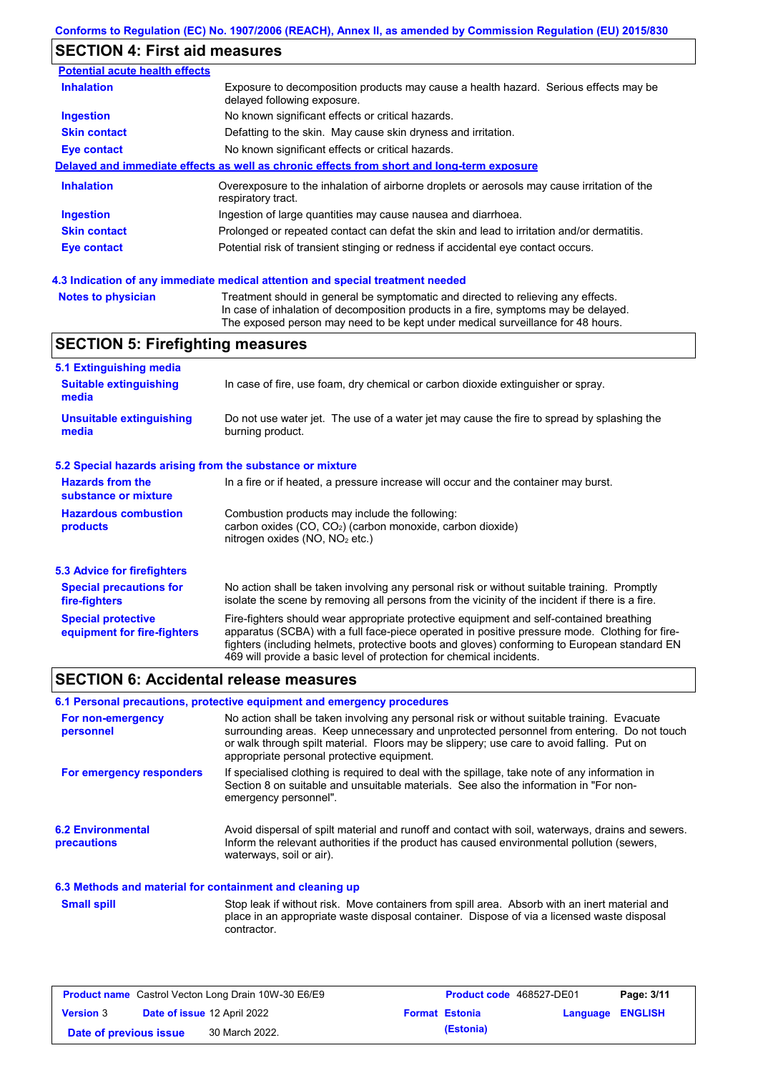## **SECTION 4: First aid measures**

| <b>Potential acute health effects</b> |                                                                                                                     |
|---------------------------------------|---------------------------------------------------------------------------------------------------------------------|
| <b>Inhalation</b>                     | Exposure to decomposition products may cause a health hazard. Serious effects may be<br>delayed following exposure. |
| <b>Ingestion</b>                      | No known significant effects or critical hazards.                                                                   |
| <b>Skin contact</b>                   | Defatting to the skin. May cause skin dryness and irritation.                                                       |
| <b>Eye contact</b>                    | No known significant effects or critical hazards.                                                                   |
|                                       | Delayed and immediate effects as well as chronic effects from short and long-term exposure                          |
| <b>Inhalation</b>                     | Overexposure to the inhalation of airborne droplets or aerosols may cause irritation of the<br>respiratory tract.   |
| <b>Ingestion</b>                      | Ingestion of large quantities may cause nausea and diarrhoea.                                                       |
| <b>Skin contact</b>                   | Prolonged or repeated contact can defat the skin and lead to irritation and/or dermatitis.                          |
| Eye contact                           | Potential risk of transient stinging or redness if accidental eye contact occurs.                                   |
|                                       |                                                                                                                     |
|                                       |                                                                                                                     |

### **4.3 Indication of any immediate medical attention and special treatment needed**

```
Notes to physician Treatment should in general be symptomatic and directed to relieving any effects.
                   In case of inhalation of decomposition products in a fire, symptoms may be delayed.
                   The exposed person may need to be kept under medical surveillance for 48 hours.
```
# **SECTION 5: Firefighting measures**

| 5.1 Extinguishing media                                   |                                                                                                                                                                                                                                                                                                                                                                   |
|-----------------------------------------------------------|-------------------------------------------------------------------------------------------------------------------------------------------------------------------------------------------------------------------------------------------------------------------------------------------------------------------------------------------------------------------|
| <b>Suitable extinguishing</b><br>media                    | In case of fire, use foam, dry chemical or carbon dioxide extinguisher or spray.                                                                                                                                                                                                                                                                                  |
| <b>Unsuitable extinguishing</b><br>media                  | Do not use water jet. The use of a water jet may cause the fire to spread by splashing the<br>burning product.                                                                                                                                                                                                                                                    |
| 5.2 Special hazards arising from the substance or mixture |                                                                                                                                                                                                                                                                                                                                                                   |
| <b>Hazards from the</b><br>substance or mixture           | In a fire or if heated, a pressure increase will occur and the container may burst.                                                                                                                                                                                                                                                                               |
| <b>Hazardous combustion</b><br>products                   | Combustion products may include the following:<br>carbon oxides (CO, CO <sub>2</sub> ) (carbon monoxide, carbon dioxide)<br>nitrogen oxides ( $NO$ , $NO2$ etc.)                                                                                                                                                                                                  |
| 5.3 Advice for firefighters                               |                                                                                                                                                                                                                                                                                                                                                                   |
| <b>Special precautions for</b><br>fire-fighters           | No action shall be taken involving any personal risk or without suitable training. Promptly<br>isolate the scene by removing all persons from the vicinity of the incident if there is a fire.                                                                                                                                                                    |
| <b>Special protective</b><br>equipment for fire-fighters  | Fire-fighters should wear appropriate protective equipment and self-contained breathing<br>apparatus (SCBA) with a full face-piece operated in positive pressure mode. Clothing for fire-<br>fighters (including helmets, protective boots and gloves) conforming to European standard EN<br>469 will provide a basic level of protection for chemical incidents. |

## **SECTION 6: Accidental release measures**

#### **6.1 Personal precautions, protective equipment and emergency procedures**

| For non-emergency<br>personnel                           | No action shall be taken involving any personal risk or without suitable training. Evacuate<br>surrounding areas. Keep unnecessary and unprotected personnel from entering. Do not touch<br>or walk through spilt material. Floors may be slippery; use care to avoid falling. Put on<br>appropriate personal protective equipment. |
|----------------------------------------------------------|-------------------------------------------------------------------------------------------------------------------------------------------------------------------------------------------------------------------------------------------------------------------------------------------------------------------------------------|
| For emergency responders                                 | If specialised clothing is required to deal with the spillage, take note of any information in<br>Section 8 on suitable and unsuitable materials. See also the information in "For non-<br>emergency personnel".                                                                                                                    |
| <b>6.2 Environmental</b><br><b>precautions</b>           | Avoid dispersal of spilt material and runoff and contact with soil, waterways, drains and sewers.<br>Inform the relevant authorities if the product has caused environmental pollution (sewers,<br>waterways, soil or air).                                                                                                         |
| 6.3 Methods and material for containment and cleaning up |                                                                                                                                                                                                                                                                                                                                     |
| <b>Small spill</b>                                       | Stop leak if without risk. Move containers from spill area. Absorb with an inert material and<br>place in an appropriate waste disposal container. Dispose of via a licensed waste disposal<br>contractor.                                                                                                                          |

| <b>Product name</b> Castrol Vecton Long Drain 10W-30 E6/E9 |  |                             | <b>Product code</b> 468527-DE01 |                       | Page: 3/11       |  |
|------------------------------------------------------------|--|-----------------------------|---------------------------------|-----------------------|------------------|--|
| <b>Version</b> 3                                           |  | Date of issue 12 April 2022 |                                 | <b>Format Estonia</b> | Language ENGLISH |  |
| Date of previous issue                                     |  | 30 March 2022.              |                                 | (Estonia)             |                  |  |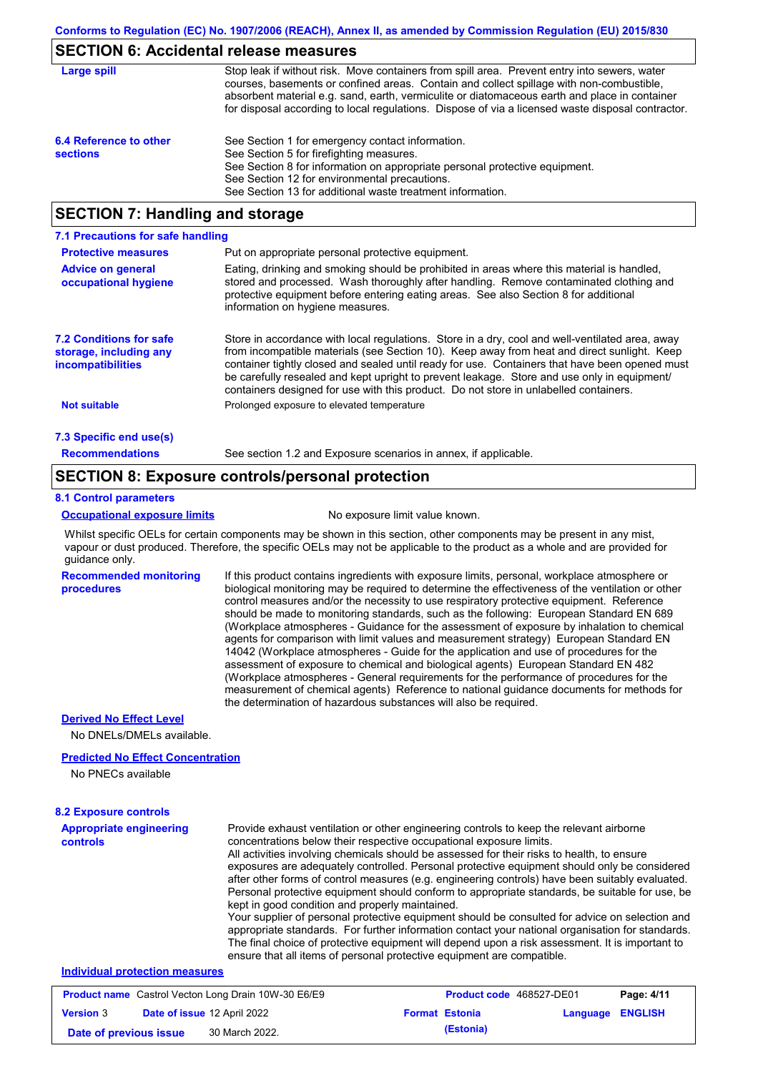## **SECTION 6: Accidental release measures**

| Large spill                               | Stop leak if without risk. Move containers from spill area. Prevent entry into sewers, water<br>courses, basements or confined areas. Contain and collect spillage with non-combustible,<br>absorbent material e.g. sand, earth, vermiculite or diatomaceous earth and place in container<br>for disposal according to local regulations. Dispose of via a licensed waste disposal contractor. |
|-------------------------------------------|------------------------------------------------------------------------------------------------------------------------------------------------------------------------------------------------------------------------------------------------------------------------------------------------------------------------------------------------------------------------------------------------|
| 6.4 Reference to other<br><b>sections</b> | See Section 1 for emergency contact information.<br>See Section 5 for firefighting measures.<br>See Section 8 for information on appropriate personal protective equipment.<br>See Section 12 for environmental precautions.<br>See Section 13 for additional waste treatment information.                                                                                                     |

## **SECTION 7: Handling and storage**

| 7.1 Precautions for safe handling                                             |                                                                                                                                                                                                                                                                                                                                                                                                                                                                                          |
|-------------------------------------------------------------------------------|------------------------------------------------------------------------------------------------------------------------------------------------------------------------------------------------------------------------------------------------------------------------------------------------------------------------------------------------------------------------------------------------------------------------------------------------------------------------------------------|
| <b>Protective measures</b>                                                    | Put on appropriate personal protective equipment.                                                                                                                                                                                                                                                                                                                                                                                                                                        |
| <b>Advice on general</b><br>occupational hygiene                              | Eating, drinking and smoking should be prohibited in areas where this material is handled,<br>stored and processed. Wash thoroughly after handling. Remove contaminated clothing and<br>protective equipment before entering eating areas. See also Section 8 for additional<br>information on hygiene measures.                                                                                                                                                                         |
| <b>7.2 Conditions for safe</b><br>storage, including any<br>incompatibilities | Store in accordance with local regulations. Store in a dry, cool and well-ventilated area, away<br>from incompatible materials (see Section 10). Keep away from heat and direct sunlight. Keep<br>container tightly closed and sealed until ready for use. Containers that have been opened must<br>be carefully resealed and kept upright to prevent leakage. Store and use only in equipment/<br>containers designed for use with this product. Do not store in unlabelled containers. |
| <b>Not suitable</b>                                                           | Prolonged exposure to elevated temperature                                                                                                                                                                                                                                                                                                                                                                                                                                               |
| 7.3 Specific end use(s)                                                       |                                                                                                                                                                                                                                                                                                                                                                                                                                                                                          |
| <b>Recommendations</b>                                                        | See section 1.2 and Exposure scenarios in annex, if applicable.                                                                                                                                                                                                                                                                                                                                                                                                                          |

## **SECTION 8: Exposure controls/personal protection**

#### **8.1 Control parameters**

**procedures**

#### **Occupational exposure limits** No exposure limit value known.

Whilst specific OELs for certain components may be shown in this section, other components may be present in any mist, vapour or dust produced. Therefore, the specific OELs may not be applicable to the product as a whole and are provided for guidance only.

**Recommended monitoring**  If this product contains ingredients with exposure limits, personal, workplace atmosphere or biological monitoring may be required to determine the effectiveness of the ventilation or other control measures and/or the necessity to use respiratory protective equipment. Reference should be made to monitoring standards, such as the following: European Standard EN 689 (Workplace atmospheres - Guidance for the assessment of exposure by inhalation to chemical agents for comparison with limit values and measurement strategy) European Standard EN 14042 (Workplace atmospheres - Guide for the application and use of procedures for the assessment of exposure to chemical and biological agents) European Standard EN 482 (Workplace atmospheres - General requirements for the performance of procedures for the measurement of chemical agents) Reference to national guidance documents for methods for the determination of hazardous substances will also be required.

## **Derived No Effect Level**

No DNELs/DMELs available.

#### **Predicted No Effect Concentration**

No PNECs available

| <b>8.2 Exposure controls</b>               |                                                                                                                                                                                                                                                                                                                                                                                                                                                                                                                                                                                                                                                                                                                                                                                                                                                                                                                                                                                                         |
|--------------------------------------------|---------------------------------------------------------------------------------------------------------------------------------------------------------------------------------------------------------------------------------------------------------------------------------------------------------------------------------------------------------------------------------------------------------------------------------------------------------------------------------------------------------------------------------------------------------------------------------------------------------------------------------------------------------------------------------------------------------------------------------------------------------------------------------------------------------------------------------------------------------------------------------------------------------------------------------------------------------------------------------------------------------|
| <b>Appropriate engineering</b><br>controls | Provide exhaust ventilation or other engineering controls to keep the relevant airborne<br>concentrations below their respective occupational exposure limits.<br>All activities involving chemicals should be assessed for their risks to health, to ensure<br>exposures are adequately controlled. Personal protective equipment should only be considered<br>after other forms of control measures (e.g. engineering controls) have been suitably evaluated.<br>Personal protective equipment should conform to appropriate standards, be suitable for use, be<br>kept in good condition and properly maintained.<br>Your supplier of personal protective equipment should be consulted for advice on selection and<br>appropriate standards. For further information contact your national organisation for standards.<br>The final choice of protective equipment will depend upon a risk assessment. It is important to<br>ensure that all items of personal protective equipment are compatible. |
| <b>Individual protection measures</b>      |                                                                                                                                                                                                                                                                                                                                                                                                                                                                                                                                                                                                                                                                                                                                                                                                                                                                                                                                                                                                         |

| <b>Product name</b> Castrol Vecton Long Drain 10W-30 E6/E9 |  | <b>Product code</b> 468527-DE01    | Page: 4/11 |                       |                  |  |
|------------------------------------------------------------|--|------------------------------------|------------|-----------------------|------------------|--|
| <b>Version 3</b>                                           |  | <b>Date of issue 12 April 2022</b> |            | <b>Format Estonia</b> | Language ENGLISH |  |
| Date of previous issue                                     |  | 30 March 2022.                     |            | (Estonia)             |                  |  |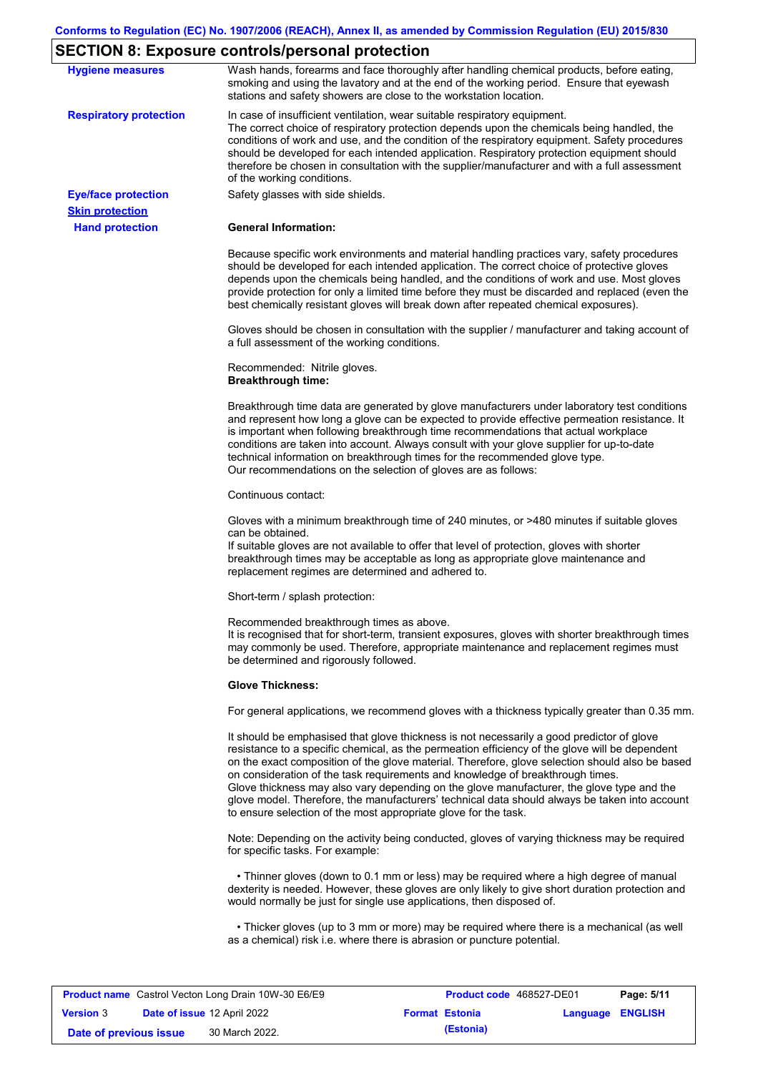# **SECTION 8: Exposure controls/personal protection**

| <b>Hygiene measures</b>                              | Wash hands, forearms and face thoroughly after handling chemical products, before eating,<br>smoking and using the lavatory and at the end of the working period. Ensure that eyewash<br>stations and safety showers are close to the workstation location.                                                                                                                                                                                                                                                                                                                                                                                       |
|------------------------------------------------------|---------------------------------------------------------------------------------------------------------------------------------------------------------------------------------------------------------------------------------------------------------------------------------------------------------------------------------------------------------------------------------------------------------------------------------------------------------------------------------------------------------------------------------------------------------------------------------------------------------------------------------------------------|
| <b>Respiratory protection</b>                        | In case of insufficient ventilation, wear suitable respiratory equipment.<br>The correct choice of respiratory protection depends upon the chemicals being handled, the<br>conditions of work and use, and the condition of the respiratory equipment. Safety procedures<br>should be developed for each intended application. Respiratory protection equipment should<br>therefore be chosen in consultation with the supplier/manufacturer and with a full assessment<br>of the working conditions.                                                                                                                                             |
| <b>Eye/face protection</b><br><b>Skin protection</b> | Safety glasses with side shields.                                                                                                                                                                                                                                                                                                                                                                                                                                                                                                                                                                                                                 |
| <b>Hand protection</b>                               | <b>General Information:</b>                                                                                                                                                                                                                                                                                                                                                                                                                                                                                                                                                                                                                       |
|                                                      | Because specific work environments and material handling practices vary, safety procedures<br>should be developed for each intended application. The correct choice of protective gloves<br>depends upon the chemicals being handled, and the conditions of work and use. Most gloves<br>provide protection for only a limited time before they must be discarded and replaced (even the<br>best chemically resistant gloves will break down after repeated chemical exposures).                                                                                                                                                                  |
|                                                      | Gloves should be chosen in consultation with the supplier / manufacturer and taking account of<br>a full assessment of the working conditions.                                                                                                                                                                                                                                                                                                                                                                                                                                                                                                    |
|                                                      | Recommended: Nitrile gloves.<br><b>Breakthrough time:</b>                                                                                                                                                                                                                                                                                                                                                                                                                                                                                                                                                                                         |
|                                                      | Breakthrough time data are generated by glove manufacturers under laboratory test conditions<br>and represent how long a glove can be expected to provide effective permeation resistance. It<br>is important when following breakthrough time recommendations that actual workplace<br>conditions are taken into account. Always consult with your glove supplier for up-to-date<br>technical information on breakthrough times for the recommended glove type.<br>Our recommendations on the selection of gloves are as follows:                                                                                                                |
|                                                      | Continuous contact:                                                                                                                                                                                                                                                                                                                                                                                                                                                                                                                                                                                                                               |
|                                                      | Gloves with a minimum breakthrough time of 240 minutes, or >480 minutes if suitable gloves<br>can be obtained.<br>If suitable gloves are not available to offer that level of protection, gloves with shorter<br>breakthrough times may be acceptable as long as appropriate glove maintenance and<br>replacement regimes are determined and adhered to.                                                                                                                                                                                                                                                                                          |
|                                                      | Short-term / splash protection:                                                                                                                                                                                                                                                                                                                                                                                                                                                                                                                                                                                                                   |
|                                                      | Recommended breakthrough times as above.<br>It is recognised that for short-term, transient exposures, gloves with shorter breakthrough times<br>may commonly be used. Therefore, appropriate maintenance and replacement regimes must<br>be determined and rigorously followed.                                                                                                                                                                                                                                                                                                                                                                  |
|                                                      | <b>Glove Thickness:</b>                                                                                                                                                                                                                                                                                                                                                                                                                                                                                                                                                                                                                           |
|                                                      | For general applications, we recommend gloves with a thickness typically greater than 0.35 mm.                                                                                                                                                                                                                                                                                                                                                                                                                                                                                                                                                    |
|                                                      | It should be emphasised that glove thickness is not necessarily a good predictor of glove<br>resistance to a specific chemical, as the permeation efficiency of the glove will be dependent<br>on the exact composition of the glove material. Therefore, glove selection should also be based<br>on consideration of the task requirements and knowledge of breakthrough times.<br>Glove thickness may also vary depending on the glove manufacturer, the glove type and the<br>glove model. Therefore, the manufacturers' technical data should always be taken into account<br>to ensure selection of the most appropriate glove for the task. |
|                                                      | Note: Depending on the activity being conducted, gloves of varying thickness may be required<br>for specific tasks. For example:                                                                                                                                                                                                                                                                                                                                                                                                                                                                                                                  |
|                                                      | • Thinner gloves (down to 0.1 mm or less) may be required where a high degree of manual<br>dexterity is needed. However, these gloves are only likely to give short duration protection and<br>would normally be just for single use applications, then disposed of.                                                                                                                                                                                                                                                                                                                                                                              |
|                                                      | • Thicker gloves (up to 3 mm or more) may be required where there is a mechanical (as well<br>as a chemical) risk i.e. where there is abrasion or puncture potential.                                                                                                                                                                                                                                                                                                                                                                                                                                                                             |
|                                                      |                                                                                                                                                                                                                                                                                                                                                                                                                                                                                                                                                                                                                                                   |

| <b>Product name</b> Castrol Vecton Long Drain 10W-30 E6/E9 |  |                                    | <b>Product code</b> 468527-DE01 |                       | Page: 5/11              |  |
|------------------------------------------------------------|--|------------------------------------|---------------------------------|-----------------------|-------------------------|--|
| <b>Version 3</b>                                           |  | <b>Date of issue 12 April 2022</b> |                                 | <b>Format Estonia</b> | <b>Language ENGLISH</b> |  |
| Date of previous issue                                     |  | 30 March 2022.                     |                                 | (Estonia)             |                         |  |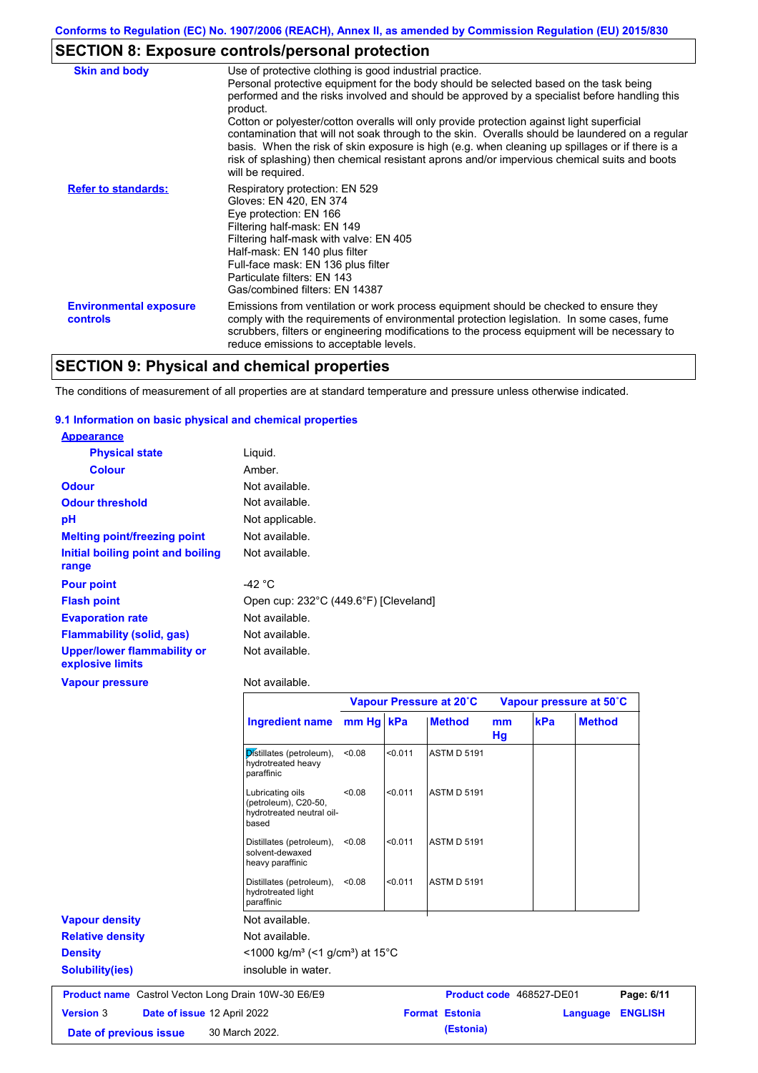# **SECTION 8: Exposure controls/personal protection**

| <b>Skin and body</b>                             | Use of protective clothing is good industrial practice.                                                                                                                                                                                                                                                                                                                                                                                                                                                                                                                                                                    |
|--------------------------------------------------|----------------------------------------------------------------------------------------------------------------------------------------------------------------------------------------------------------------------------------------------------------------------------------------------------------------------------------------------------------------------------------------------------------------------------------------------------------------------------------------------------------------------------------------------------------------------------------------------------------------------------|
|                                                  | Personal protective equipment for the body should be selected based on the task being<br>performed and the risks involved and should be approved by a specialist before handling this<br>product.<br>Cotton or polyester/cotton overalls will only provide protection against light superficial<br>contamination that will not soak through to the skin. Overalls should be laundered on a regular<br>basis. When the risk of skin exposure is high (e.g. when cleaning up spillages or if there is a<br>risk of splashing) then chemical resistant aprons and/or impervious chemical suits and boots<br>will be required. |
| <b>Refer to standards:</b>                       | Respiratory protection: EN 529<br>Gloves: EN 420, EN 374<br>Eye protection: EN 166<br>Filtering half-mask: EN 149<br>Filtering half-mask with valve: EN 405<br>Half-mask: EN 140 plus filter<br>Full-face mask: EN 136 plus filter<br>Particulate filters: EN 143<br>Gas/combined filters: EN 14387                                                                                                                                                                                                                                                                                                                        |
| <b>Environmental exposure</b><br><b>controls</b> | Emissions from ventilation or work process equipment should be checked to ensure they<br>comply with the requirements of environmental protection legislation. In some cases, fume<br>scrubbers, filters or engineering modifications to the process equipment will be necessary to<br>reduce emissions to acceptable levels.                                                                                                                                                                                                                                                                                              |

# **SECTION 9: Physical and chemical properties**

The conditions of measurement of all properties are at standard temperature and pressure unless otherwise indicated.

### **9.1 Information on basic physical and chemical properties**

| <b>Appearance</b>                                      |                                       |
|--------------------------------------------------------|---------------------------------------|
| <b>Physical state</b>                                  | Liquid.                               |
| <b>Colour</b>                                          | Amber.                                |
| <b>Odour</b>                                           | Not available.                        |
| <b>Odour threshold</b>                                 | Not available.                        |
| рH                                                     | Not applicable.                       |
| <b>Melting point/freezing point</b>                    | Not available.                        |
| Initial boiling point and boiling<br>range             | Not available.                        |
| <b>Pour point</b>                                      | -42 $\degree$ C                       |
| <b>Flash point</b>                                     | Open cup: 232°C (449.6°F) [Cleveland] |
| <b>Evaporation rate</b>                                | Not available.                        |
| <b>Flammability (solid, gas)</b>                       | Not available.                        |
| <b>Upper/lower flammability or</b><br>explosive limits | Not available.                        |
| <b>Vapour pressure</b>                                 | Not available.                        |

|                                                            |                                                                                |           |         | Vapour Pressure at 20°C |          | Vapour pressure at 50°C  |                |
|------------------------------------------------------------|--------------------------------------------------------------------------------|-----------|---------|-------------------------|----------|--------------------------|----------------|
|                                                            | <b>Ingredient name</b>                                                         | mm Hg kPa |         | <b>Method</b>           | mm<br>Hg | kPa                      | <b>Method</b>  |
|                                                            | Distillates (petroleum),<br>hydrotreated heavy<br>paraffinic                   | < 0.08    | < 0.011 | <b>ASTM D 5191</b>      |          |                          |                |
|                                                            | Lubricating oils<br>(petroleum), C20-50,<br>hydrotreated neutral oil-<br>based | < 0.08    | < 0.011 | <b>ASTM D 5191</b>      |          |                          |                |
|                                                            | Distillates (petroleum),<br>solvent-dewaxed<br>heavy paraffinic                | < 0.08    | < 0.011 | <b>ASTM D 5191</b>      |          |                          |                |
|                                                            | Distillates (petroleum),<br>hydrotreated light<br>paraffinic                   | < 0.08    | < 0.011 | <b>ASTM D 5191</b>      |          |                          |                |
| <b>Vapour density</b>                                      | Not available.                                                                 |           |         |                         |          |                          |                |
| <b>Relative density</b>                                    | Not available.                                                                 |           |         |                         |          |                          |                |
| <b>Density</b>                                             | $<$ 1000 kg/m <sup>3</sup> (<1 g/cm <sup>3</sup> ) at 15 <sup>°</sup> C        |           |         |                         |          |                          |                |
| <b>Solubility(ies)</b>                                     | insoluble in water.                                                            |           |         |                         |          |                          |                |
| <b>Product name</b> Castrol Vecton Long Drain 10W-30 E6/E9 |                                                                                |           |         |                         |          | Product code 468527-DE01 | Page: 6/11     |
| <b>Version 3</b><br>Date of issue 12 April 2022            |                                                                                |           |         | <b>Format Estonia</b>   |          | Language                 | <b>ENGLISH</b> |
| Date of previous issue                                     | 30 March 2022.                                                                 |           |         | (Estonia)               |          |                          |                |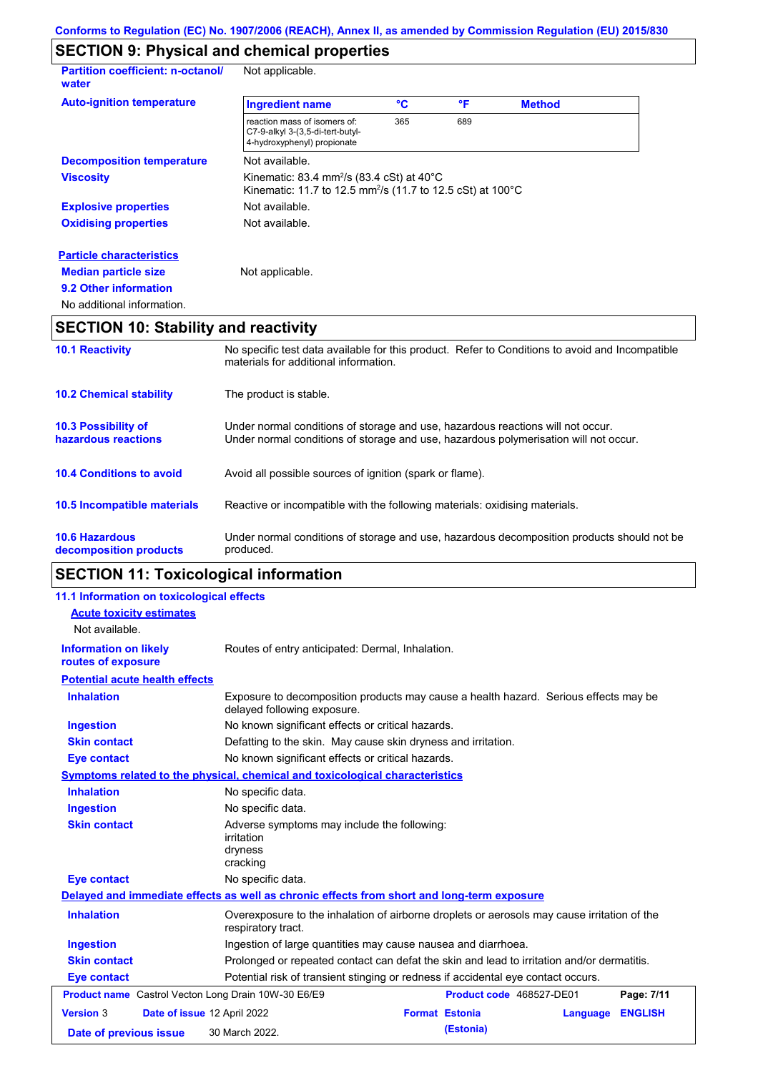# **SECTION 9: Physical and chemical properties**

| <b>Partition coefficient: n-octanol/</b><br>water | Not applicable.                                                                                                                           |     |     |               |  |
|---------------------------------------------------|-------------------------------------------------------------------------------------------------------------------------------------------|-----|-----|---------------|--|
| <b>Auto-ignition temperature</b>                  | <b>Ingredient name</b>                                                                                                                    | °C  | °F  | <b>Method</b> |  |
|                                                   | reaction mass of isomers of:<br>C7-9-alkyl 3-(3,5-di-tert-butyl-<br>4-hydroxyphenyl) propionate                                           | 365 | 689 |               |  |
| <b>Decomposition temperature</b>                  | Not available.                                                                                                                            |     |     |               |  |
| <b>Viscosity</b>                                  | Kinematic: 83.4 mm <sup>2</sup> /s (83.4 cSt) at $40^{\circ}$ C<br>Kinematic: 11.7 to 12.5 mm <sup>2</sup> /s (11.7 to 12.5 cSt) at 100°C |     |     |               |  |
| <b>Explosive properties</b>                       | Not available.                                                                                                                            |     |     |               |  |
| <b>Oxidising properties</b>                       | Not available.                                                                                                                            |     |     |               |  |
| <b>Particle characteristics</b>                   |                                                                                                                                           |     |     |               |  |
| <b>Median particle size</b>                       | Not applicable.                                                                                                                           |     |     |               |  |
| 9.2 Other information                             |                                                                                                                                           |     |     |               |  |
| No additional information.                        |                                                                                                                                           |     |     |               |  |

# **SECTION 10: Stability and reactivity**

| <b>10.1 Reactivity</b>                            | No specific test data available for this product. Refer to Conditions to avoid and Incompatible<br>materials for additional information.                                |
|---------------------------------------------------|-------------------------------------------------------------------------------------------------------------------------------------------------------------------------|
| <b>10.2 Chemical stability</b>                    | The product is stable.                                                                                                                                                  |
| <b>10.3 Possibility of</b><br>hazardous reactions | Under normal conditions of storage and use, hazardous reactions will not occur.<br>Under normal conditions of storage and use, hazardous polymerisation will not occur. |
| <b>10.4 Conditions to avoid</b>                   | Avoid all possible sources of ignition (spark or flame).                                                                                                                |
| 10.5 Incompatible materials                       | Reactive or incompatible with the following materials: oxidising materials.                                                                                             |
| <b>10.6 Hazardous</b><br>decomposition products   | Under normal conditions of storage and use, hazardous decomposition products should not be<br>produced.                                                                 |

# **SECTION 11: Toxicological information**

| 11.1 Information on toxicological effects                  |                                                                                                                     |  |  |
|------------------------------------------------------------|---------------------------------------------------------------------------------------------------------------------|--|--|
| <b>Acute toxicity estimates</b>                            |                                                                                                                     |  |  |
| Not available.                                             |                                                                                                                     |  |  |
| <b>Information on likely</b><br>routes of exposure         | Routes of entry anticipated: Dermal, Inhalation.                                                                    |  |  |
| <b>Potential acute health effects</b>                      |                                                                                                                     |  |  |
| <b>Inhalation</b>                                          | Exposure to decomposition products may cause a health hazard. Serious effects may be<br>delayed following exposure. |  |  |
| <b>Ingestion</b>                                           | No known significant effects or critical hazards.                                                                   |  |  |
| <b>Skin contact</b>                                        | Defatting to the skin. May cause skin dryness and irritation.                                                       |  |  |
| <b>Eye contact</b>                                         | No known significant effects or critical hazards.                                                                   |  |  |
|                                                            | Symptoms related to the physical, chemical and toxicological characteristics                                        |  |  |
| <b>Inhalation</b>                                          | No specific data.                                                                                                   |  |  |
| <b>Ingestion</b>                                           | No specific data.                                                                                                   |  |  |
| <b>Skin contact</b>                                        | Adverse symptoms may include the following:<br><i>irritation</i><br>dryness<br>cracking                             |  |  |
| <b>Eye contact</b>                                         | No specific data.                                                                                                   |  |  |
|                                                            | Delayed and immediate effects as well as chronic effects from short and long-term exposure                          |  |  |
| <b>Inhalation</b>                                          | Overexposure to the inhalation of airborne droplets or aerosols may cause irritation of the<br>respiratory tract.   |  |  |
| <b>Ingestion</b>                                           | Ingestion of large quantities may cause nausea and diarrhoea.                                                       |  |  |
| <b>Skin contact</b>                                        | Prolonged or repeated contact can defat the skin and lead to irritation and/or dermatitis.                          |  |  |
| <b>Eye contact</b>                                         | Potential risk of transient stinging or redness if accidental eye contact occurs.                                   |  |  |
| <b>Product name</b> Castrol Vecton Long Drain 10W-30 E6/E9 | Product code 468527-DE01<br>Page: 7/11                                                                              |  |  |
| <b>Version 3</b>                                           | Date of issue 12 April 2022<br><b>Format Estonia</b><br>Language<br><b>ENGLISH</b>                                  |  |  |
| Date of previous issue                                     | (Estonia)<br>30 March 2022.                                                                                         |  |  |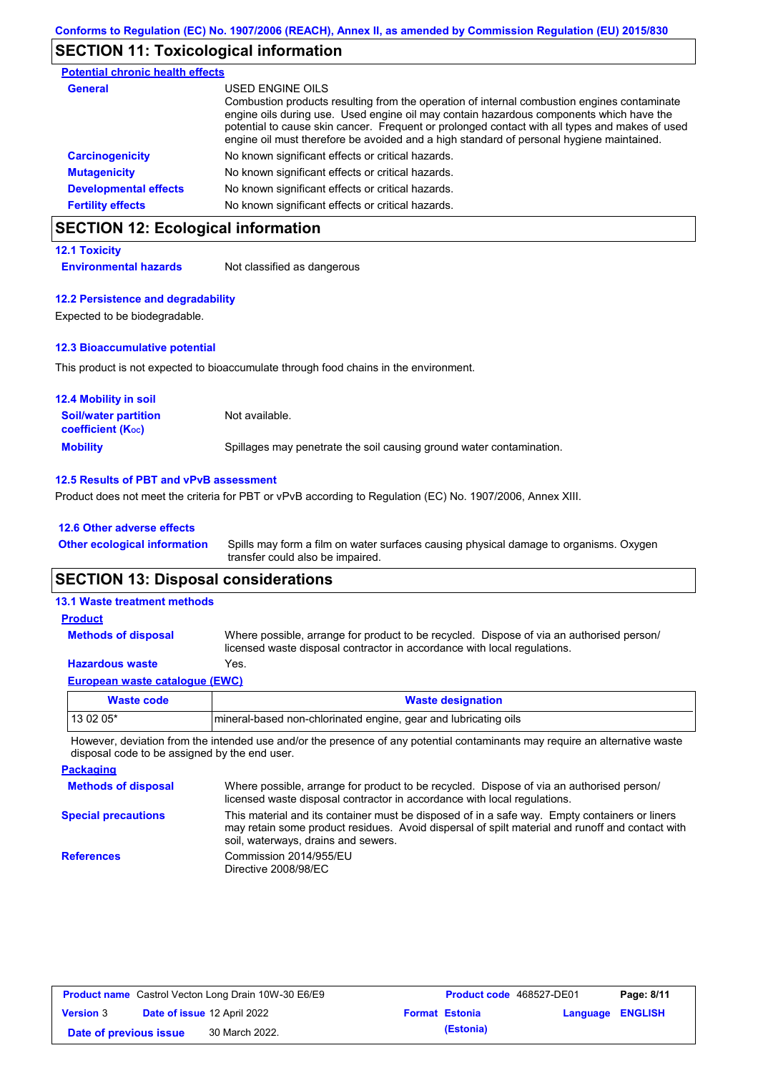## **SECTION 11: Toxicological information**

| <b>Potential chronic health effects</b> |                                                                                                                                                                                                                                                                                                                                                                                                          |
|-----------------------------------------|----------------------------------------------------------------------------------------------------------------------------------------------------------------------------------------------------------------------------------------------------------------------------------------------------------------------------------------------------------------------------------------------------------|
| General                                 | USED ENGINE OILS<br>Combustion products resulting from the operation of internal combustion engines contaminate<br>engine oils during use. Used engine oil may contain hazardous components which have the<br>potential to cause skin cancer. Frequent or prolonged contact with all types and makes of used<br>engine oil must therefore be avoided and a high standard of personal hygiene maintained. |
| <b>Carcinogenicity</b>                  | No known significant effects or critical hazards.                                                                                                                                                                                                                                                                                                                                                        |
| <b>Mutagenicity</b>                     | No known significant effects or critical hazards.                                                                                                                                                                                                                                                                                                                                                        |
| <b>Developmental effects</b>            | No known significant effects or critical hazards.                                                                                                                                                                                                                                                                                                                                                        |
| <b>Fertility effects</b>                | No known significant effects or critical hazards.                                                                                                                                                                                                                                                                                                                                                        |

# **SECTION 12: Ecological information**

### **12.1 Toxicity**

**Environmental hazards** Not classified as dangerous

#### **12.2 Persistence and degradability**

Expected to be biodegradable.

#### **12.3 Bioaccumulative potential**

This product is not expected to bioaccumulate through food chains in the environment.

| <b>12.4 Mobility in soil</b>                            |                                                                      |
|---------------------------------------------------------|----------------------------------------------------------------------|
| <b>Soil/water partition</b><br><b>coefficient (Koc)</b> | Not available.                                                       |
| <b>Mobility</b>                                         | Spillages may penetrate the soil causing ground water contamination. |

#### **12.5 Results of PBT and vPvB assessment**

Product does not meet the criteria for PBT or vPvB according to Regulation (EC) No. 1907/2006, Annex XIII.

| 12.6 Other adverse effects          |                                                                                                                           |
|-------------------------------------|---------------------------------------------------------------------------------------------------------------------------|
| <b>Other ecological information</b> | Spills may form a film on water surfaces causing physical damage to organisms. Oxygen<br>transfer could also be impaired. |

# **SECTION 13: Disposal considerations**

| <b>Waste code</b>                     | <b>Wasto designation</b>                                                                                                                                             |
|---------------------------------------|----------------------------------------------------------------------------------------------------------------------------------------------------------------------|
| <b>European waste catalogue (EWC)</b> |                                                                                                                                                                      |
| <b>Hazardous waste</b>                | Yes.                                                                                                                                                                 |
| <b>Methods of disposal</b>            | Where possible, arrange for product to be recycled. Dispose of via an authorised person/<br>licensed waste disposal contractor in accordance with local regulations. |
| <b>Product</b>                        |                                                                                                                                                                      |
| <b>13.1 Waste treatment methods</b>   |                                                                                                                                                                      |

| Waste code | <b>Waste designation</b>                                         |
|------------|------------------------------------------------------------------|
| $130205*$  | Imineral-based non-chlorinated engine, gear and lubricating oils |

However, deviation from the intended use and/or the presence of any potential contaminants may require an alternative waste disposal code to be assigned by the end user.

**Packaging Methods of disposal Special precautions** Where possible, arrange for product to be recycled. Dispose of via an authorised person/ licensed waste disposal contractor in accordance with local regulations. This material and its container must be disposed of in a safe way. Empty containers or liners may retain some product residues. Avoid dispersal of spilt material and runoff and contact with soil, waterways, drains and sewers. **References** Commission 2014/955/EU Directive 2008/98/EC

| <b>Product name</b> Castrol Vecton Long Drain 10W-30 E6/E9 |  | <b>Product code</b> 468527-DE01 |  | Page: 8/11            |                         |  |
|------------------------------------------------------------|--|---------------------------------|--|-----------------------|-------------------------|--|
| <b>Version 3</b>                                           |  | Date of issue 12 April 2022     |  | <b>Format Estonia</b> | <b>Language ENGLISH</b> |  |
| Date of previous issue                                     |  | 30 March 2022.                  |  | (Estonia)             |                         |  |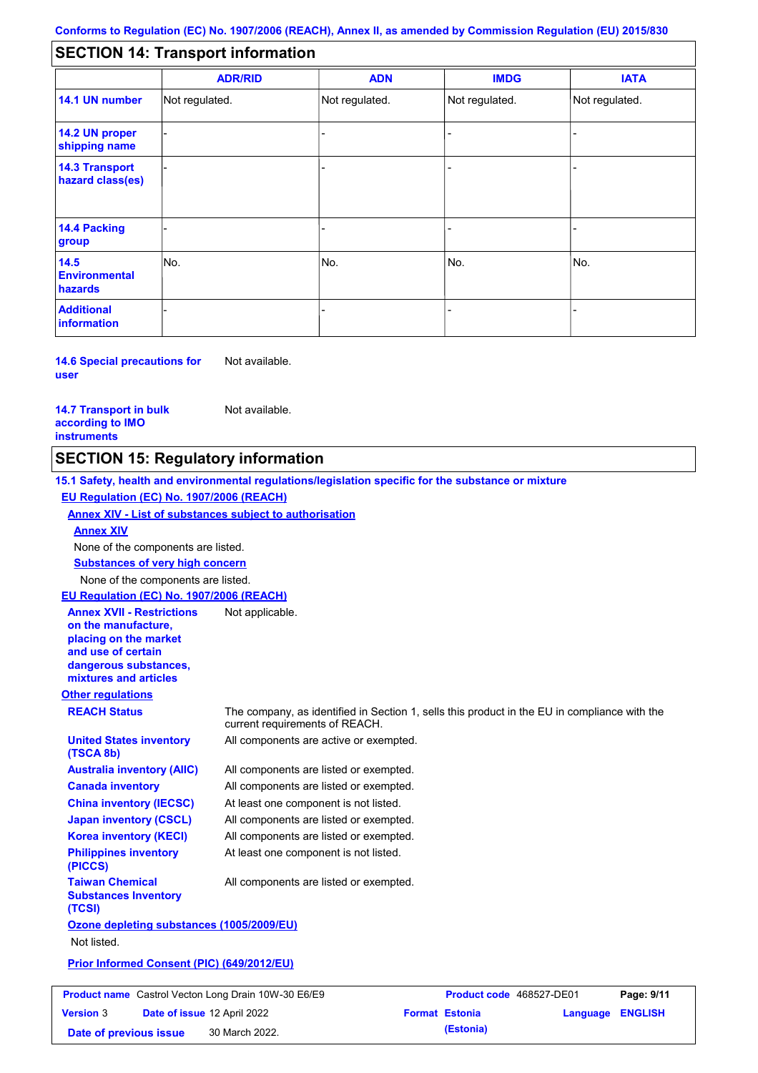#### - - - - - - - - - Not regulated. Not regulated. Not regulated. - - - **SECTION 14: Transport information ADR/RID IMDG IATA 14.1 UN number 14.2 UN proper shipping name 14.3 Transport hazard class(es) 14.4 Packing group ADN Additional information 14.5 Environmental hazards** No. 1980 | No. 1980 | No. 1980 | No. 1980 | No. 1980 | No. 1980 | No. 1980 | No. 1980 | No. 1980 | No. 1980 | Not regulated. - -<br>No. - -

**14.6 Special precautions for user** Not available.

#### **14.7 Transport in bulk according to IMO instruments**

**Version** 3

Not available.

## **SECTION 15: Regulatory information**

**Other regulations REACH Status** The company, as identified in Section 1, sells this product in the EU in compliance with the current requirements of REACH. **15.1 Safety, health and environmental regulations/legislation specific for the substance or mixture EU Regulation (EC) No. 1907/2006 (REACH) Annex XIV - List of substances subject to authorisation Substances of very high concern** None of the components are listed. All components are listed or exempted. All components are listed or exempted. At least one component is not listed. All components are listed or exempted. All components are active or exempted. All components are listed or exempted. At least one component is not listed. **United States inventory (TSCA 8b) Australia inventory (AIIC) Canada inventory China inventory (IECSC) Japan inventory (CSCL) Korea inventory (KECI) Philippines inventory (PICCS) Taiwan Chemical Substances Inventory (TCSI)** All components are listed or exempted. **Ozone depleting substances (1005/2009/EU)** Not listed. **Prior Informed Consent (PIC) (649/2012/EU)** None of the components are listed. **Annex XIV EU Regulation (EC) No. 1907/2006 (REACH) Annex XVII - Restrictions on the manufacture, placing on the market and use of certain dangerous substances, mixtures and articles** Not applicable. **Product na** 

|                        | <b>roduct name</b> Castrol Vecton Long Drain 10W-30 E6/E9 | Product code 468527-DE01 |                         | Page: 9/11 |
|------------------------|-----------------------------------------------------------|--------------------------|-------------------------|------------|
| ersion 3               | <b>Date of issue 12 April 2022</b>                        | <b>Format Estonia</b>    | <b>Language ENGLISH</b> |            |
| Date of previous issue | 30 March 2022.                                            | (Estonia)                |                         |            |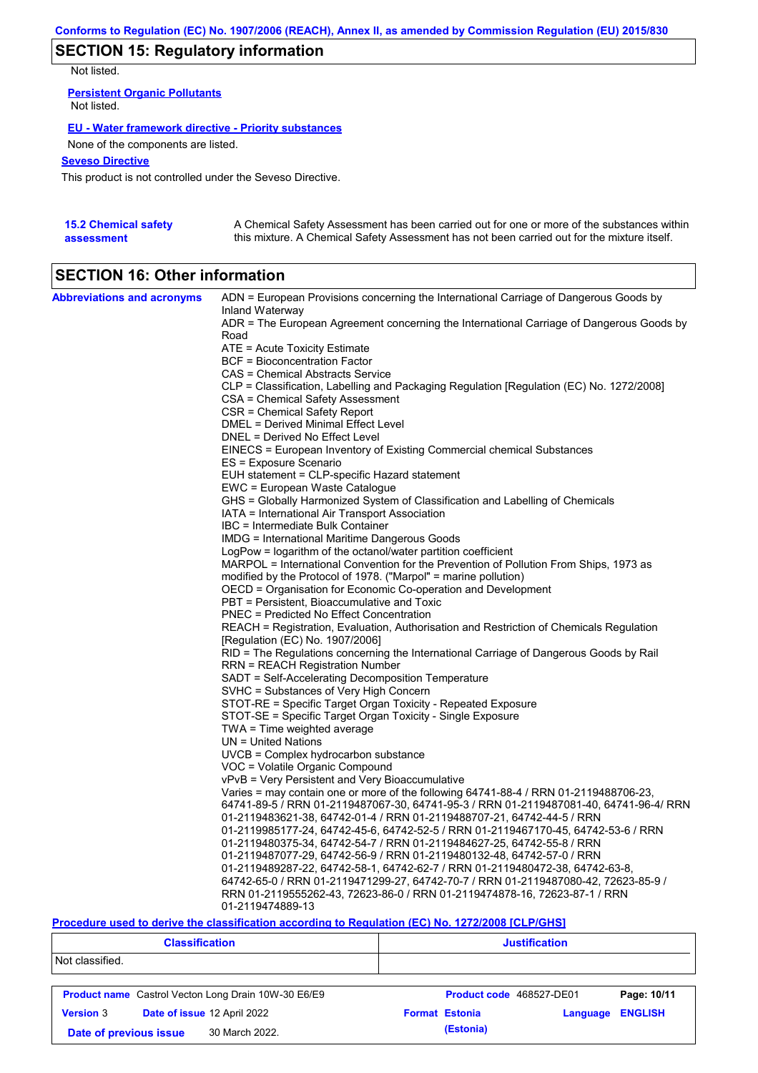# **SECTION 15: Regulatory information**

Not listed.

**Persistent Organic Pollutants** Not listed.

### **EU - Water framework directive - Priority substances**

None of the components are listed.

### **Seveso Directive**

This product is not controlled under the Seveso Directive.

| <b>15.2 Chemical safety</b> | A Chemical Safety Assessment has been carried out for one or more of the substances within  |
|-----------------------------|---------------------------------------------------------------------------------------------|
| assessment                  | this mixture. A Chemical Safety Assessment has not been carried out for the mixture itself. |

# **SECTION 16: Other information**

| <b>Abbreviations and acronyms</b> | ADN = European Provisions concerning the International Carriage of Dangerous Goods by                                           |
|-----------------------------------|---------------------------------------------------------------------------------------------------------------------------------|
|                                   | Inland Waterway<br>ADR = The European Agreement concerning the International Carriage of Dangerous Goods by                     |
|                                   | Road                                                                                                                            |
|                                   | ATE = Acute Toxicity Estimate                                                                                                   |
|                                   | BCF = Bioconcentration Factor                                                                                                   |
|                                   | CAS = Chemical Abstracts Service                                                                                                |
|                                   | CLP = Classification, Labelling and Packaging Regulation [Regulation (EC) No. 1272/2008]                                        |
|                                   | CSA = Chemical Safety Assessment                                                                                                |
|                                   | CSR = Chemical Safety Report                                                                                                    |
|                                   | DMEL = Derived Minimal Effect Level                                                                                             |
|                                   | DNEL = Derived No Effect Level                                                                                                  |
|                                   | EINECS = European Inventory of Existing Commercial chemical Substances                                                          |
|                                   | ES = Exposure Scenario                                                                                                          |
|                                   | EUH statement = CLP-specific Hazard statement                                                                                   |
|                                   | EWC = European Waste Catalogue                                                                                                  |
|                                   | GHS = Globally Harmonized System of Classification and Labelling of Chemicals<br>IATA = International Air Transport Association |
|                                   | IBC = Intermediate Bulk Container                                                                                               |
|                                   | IMDG = International Maritime Dangerous Goods                                                                                   |
|                                   | LogPow = logarithm of the octanol/water partition coefficient                                                                   |
|                                   | MARPOL = International Convention for the Prevention of Pollution From Ships, 1973 as                                           |
|                                   | modified by the Protocol of 1978. ("Marpol" = marine pollution)                                                                 |
|                                   | OECD = Organisation for Economic Co-operation and Development                                                                   |
|                                   | PBT = Persistent, Bioaccumulative and Toxic                                                                                     |
|                                   | <b>PNEC = Predicted No Effect Concentration</b>                                                                                 |
|                                   | REACH = Registration, Evaluation, Authorisation and Restriction of Chemicals Regulation                                         |
|                                   | [Regulation (EC) No. 1907/2006]                                                                                                 |
|                                   | RID = The Regulations concerning the International Carriage of Dangerous Goods by Rail                                          |
|                                   | <b>RRN = REACH Registration Number</b>                                                                                          |
|                                   | SADT = Self-Accelerating Decomposition Temperature                                                                              |
|                                   | SVHC = Substances of Very High Concern                                                                                          |
|                                   | STOT-RE = Specific Target Organ Toxicity - Repeated Exposure                                                                    |
|                                   | STOT-SE = Specific Target Organ Toxicity - Single Exposure                                                                      |
|                                   | $TWA = Time$ weighted average<br>$UN = United Nations$                                                                          |
|                                   | UVCB = Complex hydrocarbon substance                                                                                            |
|                                   | VOC = Volatile Organic Compound                                                                                                 |
|                                   | vPvB = Very Persistent and Very Bioaccumulative                                                                                 |
|                                   | Varies = may contain one or more of the following 64741-88-4 / RRN 01-2119488706-23,                                            |
|                                   | 64741-89-5 / RRN 01-2119487067-30, 64741-95-3 / RRN 01-2119487081-40, 64741-96-4/ RRN                                           |
|                                   | 01-2119483621-38, 64742-01-4 / RRN 01-2119488707-21, 64742-44-5 / RRN                                                           |
|                                   | 01-2119985177-24, 64742-45-6, 64742-52-5 / RRN 01-2119467170-45, 64742-53-6 / RRN                                               |
|                                   | 01-2119480375-34, 64742-54-7 / RRN 01-2119484627-25, 64742-55-8 / RRN                                                           |
|                                   | 01-2119487077-29, 64742-56-9 / RRN 01-2119480132-48, 64742-57-0 / RRN                                                           |
|                                   | 01-2119489287-22, 64742-58-1, 64742-62-7 / RRN 01-2119480472-38, 64742-63-8,                                                    |
|                                   | 64742-65-0 / RRN 01-2119471299-27, 64742-70-7 / RRN 01-2119487080-42, 72623-85-9 /                                              |
|                                   | RRN 01-2119555262-43, 72623-86-0 / RRN 01-2119474878-16, 72623-87-1 / RRN                                                       |
|                                   | 01-2119474889-13                                                                                                                |

### **Procedure used to derive the classification according to Regulation (EC) No. 1272/2008 [CLP/GHS]**

| <b>Classification</b>                           |                                                            | <b>Justification</b>     |          |                |  |
|-------------------------------------------------|------------------------------------------------------------|--------------------------|----------|----------------|--|
| Not classified.                                 |                                                            |                          |          |                |  |
|                                                 | <b>Product name</b> Castrol Vecton Long Drain 10W-30 E6/E9 | Product code 468527-DE01 |          | Page: 10/11    |  |
| Date of issue 12 April 2022<br><b>Version 3</b> |                                                            | <b>Format Estonia</b>    | Language | <b>ENGLISH</b> |  |
| Date of previous issue                          | 30 March 2022.                                             | (Estonia)                |          |                |  |